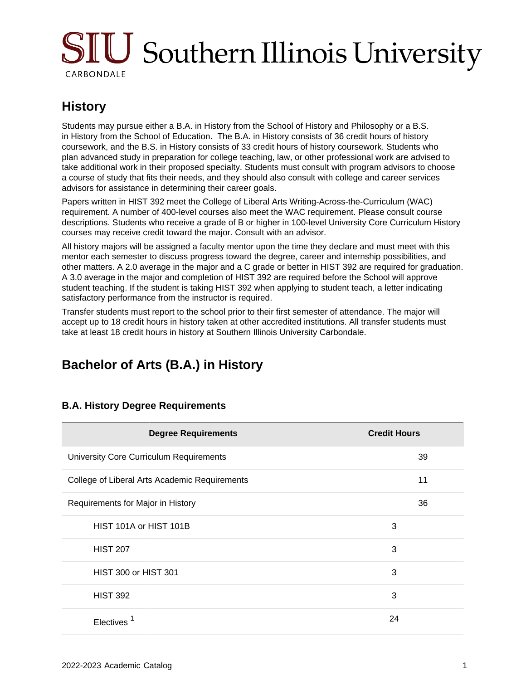# SIU Southern Illinois University CARBONDALE

### **History**

Students may pursue either a B.A. in History from the School of History and Philosophy or a B.S. in History from the School of Education. The B.A. in History consists of 36 credit hours of history coursework, and the B.S. in History consists of 33 credit hours of history coursework. Students who plan advanced study in preparation for college teaching, law, or other professional work are advised to take additional work in their proposed specialty. Students must consult with program advisors to choose a course of study that fits their needs, and they should also consult with college and career services advisors for assistance in determining their career goals.

Papers written in HIST 392 meet the College of Liberal Arts Writing-Across-the-Curriculum (WAC) requirement. A number of 400-level courses also meet the WAC requirement. Please consult course descriptions. Students who receive a grade of B or higher in 100-level University Core Curriculum History courses may receive credit toward the major. Consult with an advisor.

All history majors will be assigned a faculty mentor upon the time they declare and must meet with this mentor each semester to discuss progress toward the degree, career and internship possibilities, and other matters. A 2.0 average in the major and a C grade or better in HIST 392 are required for graduation. A 3.0 average in the major and completion of HIST 392 are required before the School will approve student teaching. If the student is taking HIST 392 when applying to student teach, a letter indicating satisfactory performance from the instructor is required.

Transfer students must report to the school prior to their first semester of attendance. The major will accept up to 18 credit hours in history taken at other accredited institutions. All transfer students must take at least 18 credit hours in history at Southern Illinois University Carbondale.

## **Bachelor of Arts (B.A.) in History**

| <b>Degree Requirements</b>                    | <b>Credit Hours</b> |
|-----------------------------------------------|---------------------|
| University Core Curriculum Requirements       | 39                  |
| College of Liberal Arts Academic Requirements | 11                  |
| Requirements for Major in History             | 36                  |
| HIST 101A or HIST 101B                        | 3                   |
| <b>HIST 207</b>                               | 3                   |
| <b>HIST 300 or HIST 301</b>                   | 3                   |
| <b>HIST 392</b>                               | 3                   |
| Electives                                     | 24                  |

### **B.A. History Degree Requirements**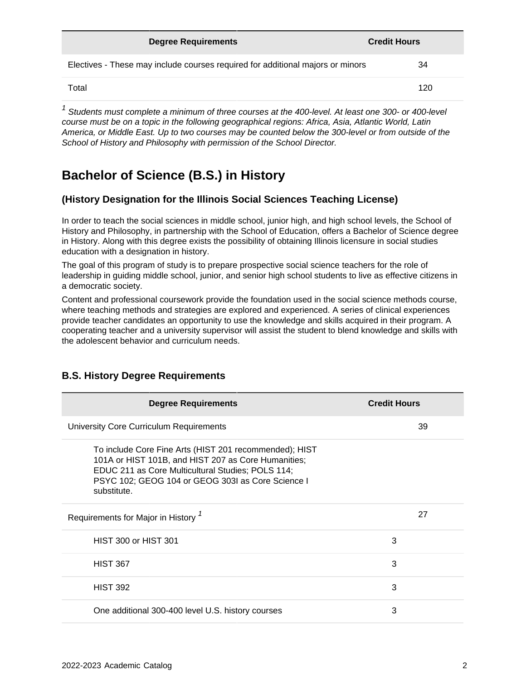| <b>Degree Requirements</b>                                                     | <b>Credit Hours</b> |
|--------------------------------------------------------------------------------|---------------------|
| Electives - These may include courses required for additional majors or minors | 34                  |
| Total                                                                          | 120                 |

 $1$  Students must complete a minimum of three courses at the 400-level. At least one 300- or 400-level course must be on a topic in the following geographical regions: Africa, Asia, Atlantic World, Latin America, or Middle East. Up to two courses may be counted below the 300-level or from outside of the School of History and Philosophy with permission of the School Director.

### **Bachelor of Science (B.S.) in History**

#### **(History Designation for the Illinois Social Sciences Teaching License)**

In order to teach the social sciences in middle school, junior high, and high school levels, the School of History and Philosophy, in partnership with the School of Education, offers a Bachelor of Science degree in History. Along with this degree exists the possibility of obtaining Illinois licensure in social studies education with a designation in history.

The goal of this program of study is to prepare prospective social science teachers for the role of leadership in guiding middle school, junior, and senior high school students to live as effective citizens in a democratic society.

Content and professional coursework provide the foundation used in the social science methods course, where teaching methods and strategies are explored and experienced. A series of clinical experiences provide teacher candidates an opportunity to use the knowledge and skills acquired in their program. A cooperating teacher and a university supervisor will assist the student to blend knowledge and skills with the adolescent behavior and curriculum needs.

| <b>Degree Requirements</b>                                                                                                                                                                                                             | <b>Credit Hours</b> |
|----------------------------------------------------------------------------------------------------------------------------------------------------------------------------------------------------------------------------------------|---------------------|
| University Core Curriculum Requirements                                                                                                                                                                                                | 39                  |
| To include Core Fine Arts (HIST 201 recommended); HIST<br>101A or HIST 101B, and HIST 207 as Core Humanities;<br>EDUC 211 as Core Multicultural Studies; POLS 114;<br>PSYC 102; GEOG 104 or GEOG 303I as Core Science I<br>substitute. |                     |
| Requirements for Major in History <sup>7</sup>                                                                                                                                                                                         | 27                  |
| <b>HIST 300 or HIST 301</b>                                                                                                                                                                                                            | 3                   |
| <b>HIST 367</b>                                                                                                                                                                                                                        | 3                   |
| <b>HIST 392</b>                                                                                                                                                                                                                        | 3                   |
| One additional 300-400 level U.S. history courses                                                                                                                                                                                      | 3                   |

#### **B.S. History Degree Requirements**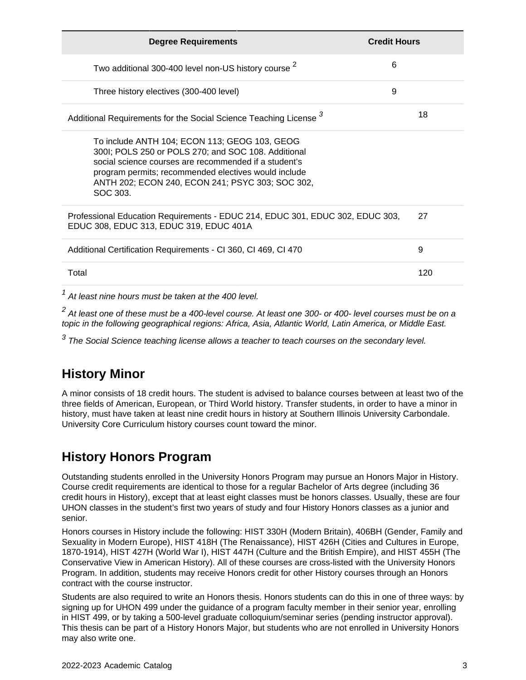| <b>Degree Requirements</b>                                                                                                                                                                                                                                                            | <b>Credit Hours</b> |
|---------------------------------------------------------------------------------------------------------------------------------------------------------------------------------------------------------------------------------------------------------------------------------------|---------------------|
| Two additional 300-400 level non-US history course <sup>2</sup>                                                                                                                                                                                                                       | 6                   |
| Three history electives (300-400 level)                                                                                                                                                                                                                                               | 9                   |
| Additional Requirements for the Social Science Teaching License 3                                                                                                                                                                                                                     | 18                  |
| To include ANTH 104; ECON 113; GEOG 103, GEOG<br>300I; POLS 250 or POLS 270; and SOC 108. Additional<br>social science courses are recommended if a student's<br>program permits; recommended electives would include<br>ANTH 202; ECON 240, ECON 241; PSYC 303; SOC 302,<br>SOC 303. |                     |
| Professional Education Requirements - EDUC 214, EDUC 301, EDUC 302, EDUC 303,<br>EDUC 308, EDUC 313, EDUC 319, EDUC 401A                                                                                                                                                              | 27                  |
| Additional Certification Requirements - CI 360, CI 469, CI 470                                                                                                                                                                                                                        | 9                   |
| Total                                                                                                                                                                                                                                                                                 | 120                 |
| At least nine hours must be taken at the 400 level.                                                                                                                                                                                                                                   |                     |

 $^2$  At least one of these must be a 400-level course. At least one 300- or 400- level courses must be on a topic in the following geographical regions: Africa, Asia, Atlantic World, Latin America, or Middle East.

 $^3$  The Social Science teaching license allows a teacher to teach courses on the secondary level.

### **History Minor**

A minor consists of 18 credit hours. The student is advised to balance courses between at least two of the three fields of American, European, or Third World history. Transfer students, in order to have a minor in history, must have taken at least nine credit hours in history at Southern Illinois University Carbondale. University Core Curriculum history courses count toward the minor.

### **History Honors Program**

Outstanding students enrolled in the University Honors Program may pursue an Honors Major in History. Course credit requirements are identical to those for a regular Bachelor of Arts degree (including 36 credit hours in History), except that at least eight classes must be honors classes. Usually, these are four UHON classes in the student's first two years of study and four History Honors classes as a junior and senior.

Honors courses in History include the following: HIST 330H (Modern Britain), 406BH (Gender, Family and Sexuality in Modern Europe), HIST 418H (The Renaissance), HIST 426H (Cities and Cultures in Europe, 1870-1914), HIST 427H (World War I), HIST 447H (Culture and the British Empire), and HIST 455H (The Conservative View in American History). All of these courses are cross-listed with the University Honors Program. In addition, students may receive Honors credit for other History courses through an Honors contract with the course instructor.

Students are also required to write an Honors thesis. Honors students can do this in one of three ways: by signing up for UHON 499 under the guidance of a program faculty member in their senior year, enrolling in HIST 499, or by taking a 500-level graduate colloquium/seminar series (pending instructor approval). This thesis can be part of a History Honors Major, but students who are not enrolled in University Honors may also write one.